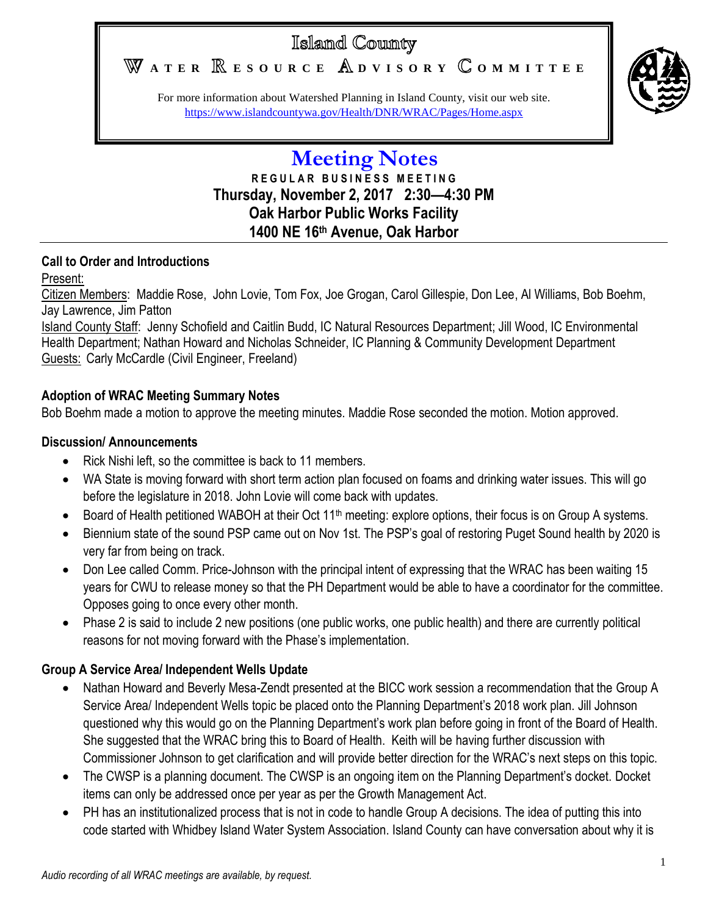# Islamd County

WATER **RESOURCE** ADVISORY COMMITTEE



For more information about Watershed Planning in Island County, visit our web site. <https://www.islandcountywa.gov/Health/DNR/WRAC/Pages/Home.aspx>

# **Meeting Notes R E G U L A R B U S I N E S S M E E T I N G Thursday, November 2, 2017 2:30—4:30 PM Oak Harbor Public Works Facility 1400 NE 16th Avenue, Oak Harbor**

#### **Call to Order and Introductions**

#### Present:

Citizen Members: Maddie Rose, John Lovie, Tom Fox, Joe Grogan, Carol Gillespie, Don Lee, Al Williams, Bob Boehm, Jay Lawrence, Jim Patton

Island County Staff: Jenny Schofield and Caitlin Budd, IC Natural Resources Department; Jill Wood, IC Environmental Health Department; Nathan Howard and Nicholas Schneider, IC Planning & Community Development Department Guests: Carly McCardle (Civil Engineer, Freeland)

## **Adoption of WRAC Meeting Summary Notes**

Bob Boehm made a motion to approve the meeting minutes. Maddie Rose seconded the motion. Motion approved.

## **Discussion/ Announcements**

- Rick Nishi left, so the committee is back to 11 members.
- WA State is moving forward with short term action plan focused on foams and drinking water issues. This will go before the legislature in 2018. John Lovie will come back with updates.
- Board of Health petitioned WABOH at their Oct 11<sup>th</sup> meeting: explore options, their focus is on Group A systems.
- Biennium state of the sound PSP came out on Nov 1st. The PSP's goal of restoring Puget Sound health by 2020 is very far from being on track.
- Don Lee called Comm. Price-Johnson with the principal intent of expressing that the WRAC has been waiting 15 years for CWU to release money so that the PH Department would be able to have a coordinator for the committee. Opposes going to once every other month.
- Phase 2 is said to include 2 new positions (one public works, one public health) and there are currently political reasons for not moving forward with the Phase's implementation.

## **Group A Service Area/ Independent Wells Update**

- Nathan Howard and Beverly Mesa-Zendt presented at the BICC work session a recommendation that the Group A Service Area/ Independent Wells topic be placed onto the Planning Department's 2018 work plan. Jill Johnson questioned why this would go on the Planning Department's work plan before going in front of the Board of Health. She suggested that the WRAC bring this to Board of Health. Keith will be having further discussion with Commissioner Johnson to get clarification and will provide better direction for the WRAC's next steps on this topic.
- The CWSP is a planning document. The CWSP is an ongoing item on the Planning Department's docket. Docket items can only be addressed once per year as per the Growth Management Act.
- PH has an institutionalized process that is not in code to handle Group A decisions. The idea of putting this into code started with Whidbey Island Water System Association. Island County can have conversation about why it is